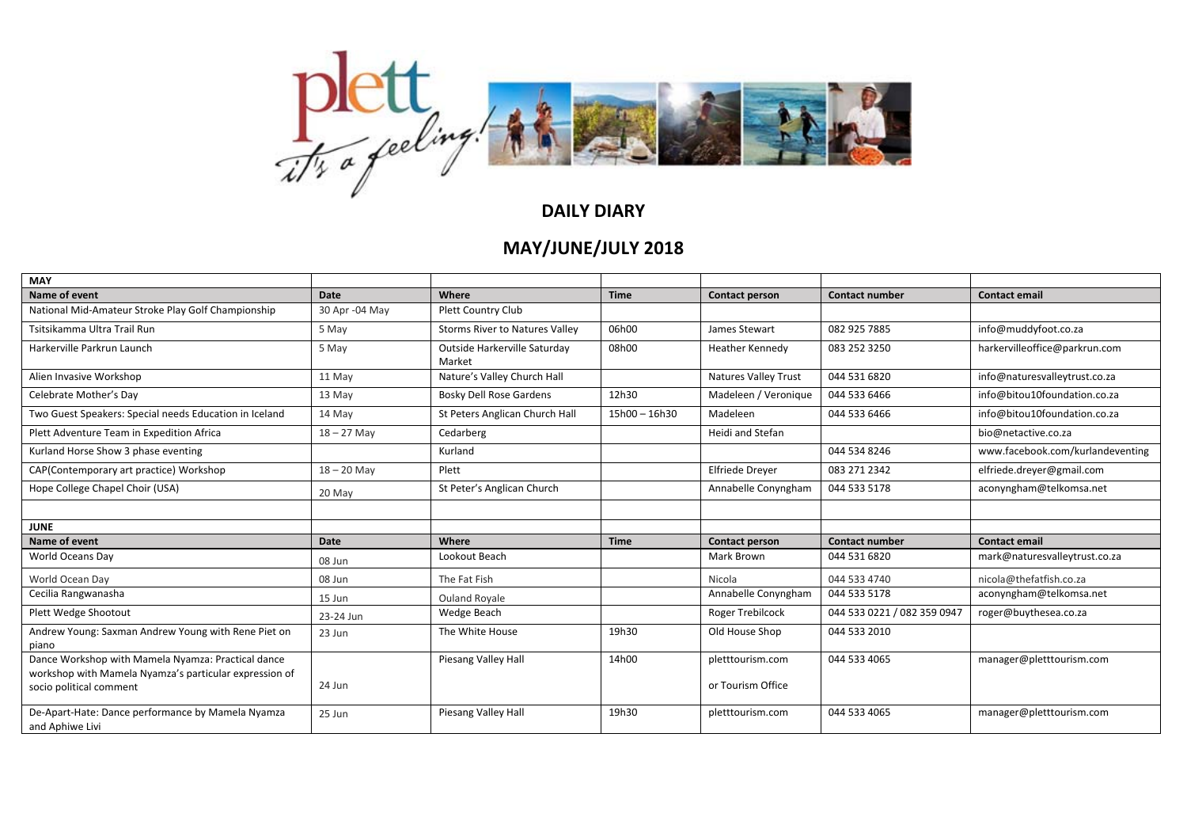

| <b>MAY</b>                                                                                                   |                |                                        |                 |                             |                             |                                  |
|--------------------------------------------------------------------------------------------------------------|----------------|----------------------------------------|-----------------|-----------------------------|-----------------------------|----------------------------------|
| Name of event                                                                                                | Date           | Where                                  | <b>Time</b>     | Contact person              | <b>Contact number</b>       | <b>Contact email</b>             |
| National Mid-Amateur Stroke Play Golf Championship                                                           | 30 Apr -04 May | Plett Country Club                     |                 |                             |                             |                                  |
| Tsitsikamma Ultra Trail Run                                                                                  | 5 May          | <b>Storms River to Natures Valley</b>  | 06h00           | James Stewart               | 082 925 7885                | info@muddyfoot.co.za             |
| Harkerville Parkrun Launch                                                                                   | 5 May          | Outside Harkerville Saturday<br>Market | 08h00           | Heather Kennedy             | 083 252 3250                | harkervilleoffice@parkrun.com    |
| Alien Invasive Workshop                                                                                      | 11 May         | Nature's Valley Church Hall            |                 | <b>Natures Valley Trust</b> | 044 531 6820                | info@naturesvalleytrust.co.za    |
| Celebrate Mother's Day                                                                                       | 13 May         | <b>Bosky Dell Rose Gardens</b>         | 12h30           | Madeleen / Veronique        | 044 533 6466                | info@bitou10foundation.co.za     |
| Two Guest Speakers: Special needs Education in Iceland                                                       | 14 May         | St Peters Anglican Church Hall         | $15h00 - 16h30$ | Madeleen                    | 044 533 6466                | info@bitou10foundation.co.za     |
| Plett Adventure Team in Expedition Africa                                                                    | $18 - 27$ May  | Cedarberg                              |                 | Heidi and Stefan            |                             | bio@netactive.co.za              |
| Kurland Horse Show 3 phase eventing                                                                          |                | Kurland                                |                 |                             | 044 534 8246                | www.facebook.com/kurlandeventing |
| CAP(Contemporary art practice) Workshop                                                                      | $18 - 20$ May  | Plett                                  |                 | <b>Elfriede Dreyer</b>      | 083 271 2342                | elfriede.dreyer@gmail.com        |
| Hope College Chapel Choir (USA)                                                                              | 20 May         | St Peter's Anglican Church             |                 | Annabelle Conyngham         | 044 533 5178                | aconyngham@telkomsa.net          |
|                                                                                                              |                |                                        |                 |                             |                             |                                  |
| <b>JUNE</b>                                                                                                  |                |                                        |                 |                             |                             |                                  |
| Name of event                                                                                                | Date           | Where                                  | <b>Time</b>     | <b>Contact person</b>       | <b>Contact number</b>       | Contact email                    |
| World Oceans Day                                                                                             | 08 Jun         | Lookout Beach                          |                 | Mark Brown                  | 044 531 6820                | mark@naturesvalleytrust.co.za    |
| World Ocean Day                                                                                              | 08 Jun         | The Fat Fish                           |                 | Nicola                      | 044 533 4740                | nicola@thefatfish.co.za          |
| Cecilia Rangwanasha                                                                                          | 15 Jun         | Ouland Royale                          |                 | Annabelle Conyngham         | 044 533 5178                | aconyngham@telkomsa.net          |
| Plett Wedge Shootout                                                                                         | 23-24 Jun      | Wedge Beach                            |                 | <b>Roger Trebilcock</b>     | 044 533 0221 / 082 359 0947 | roger@buythesea.co.za            |
| Andrew Young: Saxman Andrew Young with Rene Piet on<br>piano                                                 | 23 Jun         | The White House                        | 19h30           | Old House Shop              | 044 533 2010                |                                  |
| Dance Workshop with Mamela Nyamza: Practical dance<br>workshop with Mamela Nyamza's particular expression of |                | Piesang Valley Hall                    | 14h00           | pletttourism.com            | 044 533 4065                | manager@pletttourism.com         |
| socio political comment                                                                                      | 24 Jun         |                                        |                 | or Tourism Office           |                             |                                  |
| De-Apart-Hate: Dance performance by Mamela Nyamza<br>and Aphiwe Livi                                         | 25 Jun         | Piesang Valley Hall                    | 19h30           | pletttourism.com            | 044 533 4065                | manager@pletttourism.com         |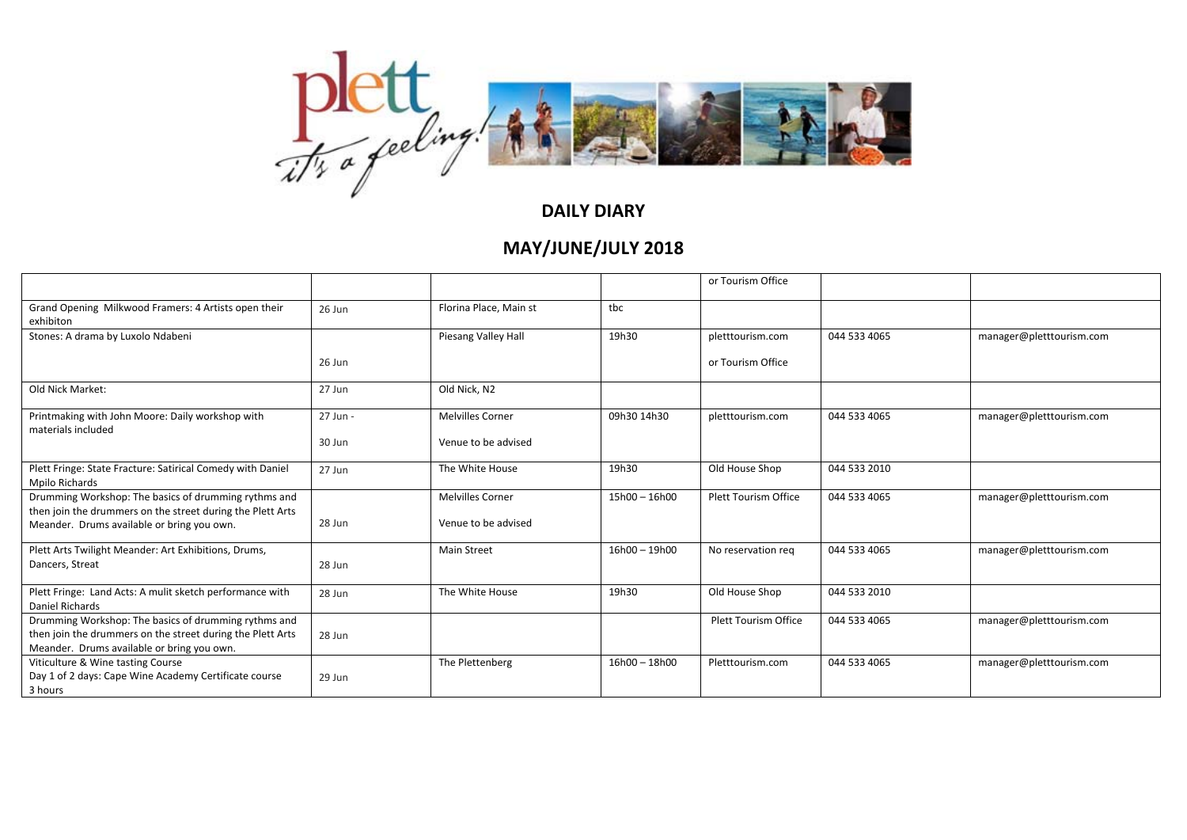

|                                                                                                          |          |                         |                 | or Tourism Office           |              |                          |
|----------------------------------------------------------------------------------------------------------|----------|-------------------------|-----------------|-----------------------------|--------------|--------------------------|
| Grand Opening Milkwood Framers: 4 Artists open their<br>exhibiton                                        | 26 Jun   | Florina Place, Main st  | tbc             |                             |              |                          |
| Stones: A drama by Luxolo Ndabeni                                                                        |          | Piesang Valley Hall     | 19h30           | pletttourism.com            | 044 533 4065 | manager@pletttourism.com |
|                                                                                                          | 26 Jun   |                         |                 | or Tourism Office           |              |                          |
| Old Nick Market:                                                                                         | 27 Jun   | Old Nick. N2            |                 |                             |              |                          |
| Printmaking with John Moore: Daily workshop with                                                         | 27 Jun - | <b>Melvilles Corner</b> | 09h30 14h30     | pletttourism.com            | 044 533 4065 | manager@pletttourism.com |
| materials included                                                                                       | 30 Jun   | Venue to be advised     |                 |                             |              |                          |
| Plett Fringe: State Fracture: Satirical Comedy with Daniel<br>Mpilo Richards                             | 27 Jun   | The White House         | 19h30           | Old House Shop              | 044 533 2010 |                          |
| Drumming Workshop: The basics of drumming rythms and                                                     |          | <b>Melvilles Corner</b> | $15h00 - 16h00$ | Plett Tourism Office        | 044 533 4065 | manager@pletttourism.com |
| then join the drummers on the street during the Plett Arts<br>Meander. Drums available or bring you own. | 28 Jun   | Venue to be advised     |                 |                             |              |                          |
| Plett Arts Twilight Meander: Art Exhibitions, Drums,                                                     |          | <b>Main Street</b>      | $16h00 - 19h00$ | No reservation req          | 044 533 4065 | manager@pletttourism.com |
| Dancers, Streat                                                                                          | 28 Jun   |                         |                 |                             |              |                          |
| Plett Fringe: Land Acts: A mulit sketch performance with<br>Daniel Richards                              | 28 Jun   | The White House         | 19h30           | Old House Shop              | 044 533 2010 |                          |
| Drumming Workshop: The basics of drumming rythms and                                                     |          |                         |                 | <b>Plett Tourism Office</b> | 044 533 4065 | manager@pletttourism.com |
| then join the drummers on the street during the Plett Arts<br>Meander. Drums available or bring you own. | 28 Jun   |                         |                 |                             |              |                          |
| Viticulture & Wine tasting Course                                                                        |          | The Plettenberg         | $16h00 - 18h00$ | Pletttourism.com            | 044 533 4065 | manager@pletttourism.com |
| Day 1 of 2 days: Cape Wine Academy Certificate course                                                    | 29 Jun   |                         |                 |                             |              |                          |
| 3 hours                                                                                                  |          |                         |                 |                             |              |                          |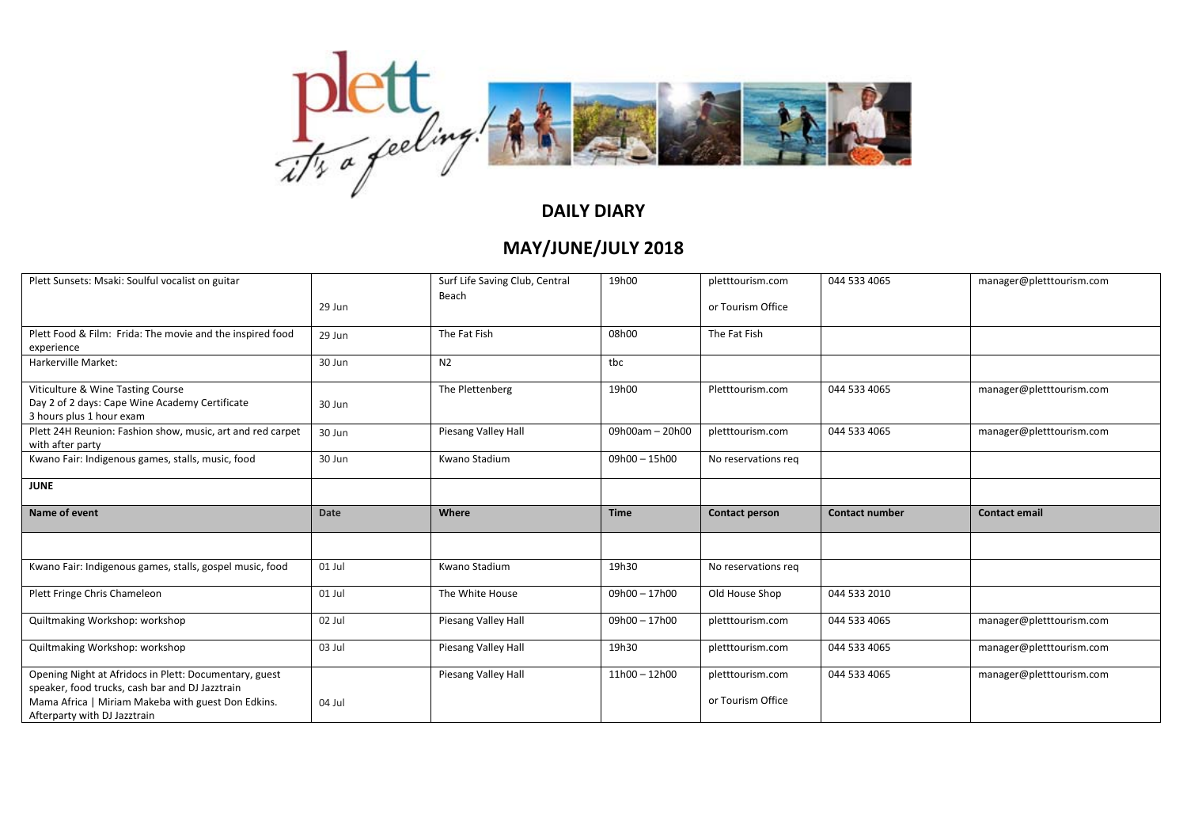

| Plett Sunsets: Msaki: Soulful vocalist on guitar                                                                |          | Surf Life Saving Club, Central | 19h00           | pletttourism.com    | 044 533 4065          | manager@pletttourism.com |
|-----------------------------------------------------------------------------------------------------------------|----------|--------------------------------|-----------------|---------------------|-----------------------|--------------------------|
|                                                                                                                 | 29 Jun   | Beach                          |                 | or Tourism Office   |                       |                          |
| Plett Food & Film: Frida: The movie and the inspired food<br>experience                                         | 29 Jun   | The Fat Fish                   | 08h00           | The Fat Fish        |                       |                          |
| Harkerville Market:                                                                                             | 30 Jun   | N <sub>2</sub>                 | tbc             |                     |                       |                          |
| Viticulture & Wine Tasting Course<br>Day 2 of 2 days: Cape Wine Academy Certificate<br>3 hours plus 1 hour exam | 30 Jun   | The Plettenberg                | 19h00           | Pletttourism.com    | 044 533 4065          | manager@pletttourism.com |
| Plett 24H Reunion: Fashion show, music, art and red carpet<br>with after party                                  | 30 Jun   | Piesang Valley Hall            | 09h00am - 20h00 | pletttourism.com    | 044 533 4065          | manager@pletttourism.com |
| Kwano Fair: Indigenous games, stalls, music, food                                                               | 30 Jun   | Kwano Stadium                  | $09h00 - 15h00$ | No reservations req |                       |                          |
| <b>JUNE</b>                                                                                                     |          |                                |                 |                     |                       |                          |
|                                                                                                                 |          |                                |                 |                     |                       |                          |
| Name of event                                                                                                   | Date     | Where                          | <b>Time</b>     | Contact person      | <b>Contact number</b> | <b>Contact email</b>     |
|                                                                                                                 |          |                                |                 |                     |                       |                          |
| Kwano Fair: Indigenous games, stalls, gospel music, food                                                        | $01$ Jul | Kwano Stadium                  | 19h30           | No reservations req |                       |                          |
| Plett Fringe Chris Chameleon                                                                                    | 01 Jul   | The White House                | 09h00 - 17h00   | Old House Shop      | 044 533 2010          |                          |
| Quiltmaking Workshop: workshop                                                                                  | 02 Jul   | Piesang Valley Hall            | 09h00 - 17h00   | pletttourism.com    | 044 533 4065          | manager@pletttourism.com |
| Quiltmaking Workshop: workshop                                                                                  | 03 Jul   | Piesang Valley Hall            | 19h30           | pletttourism.com    | 044 533 4065          | manager@pletttourism.com |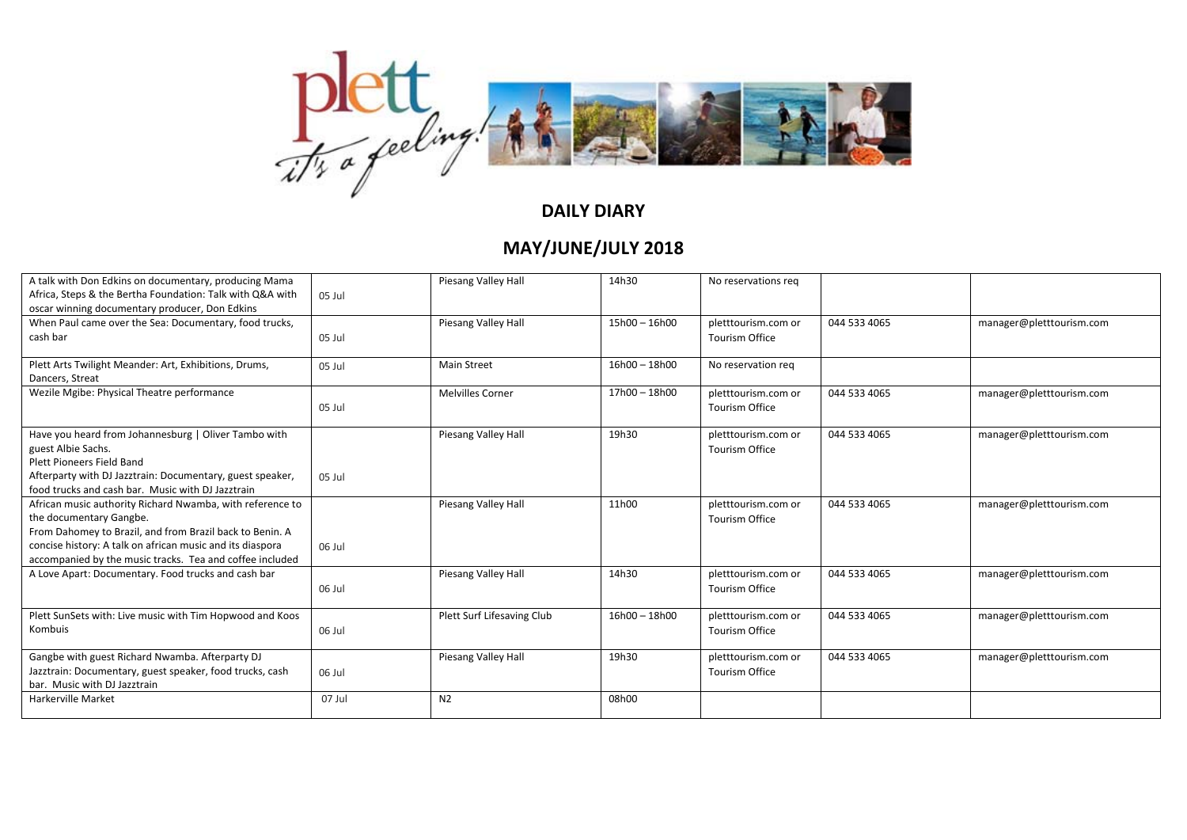

| A talk with Don Edkins on documentary, producing Mama<br>Africa, Steps & the Bertha Foundation: Talk with Q&A with<br>oscar winning documentary producer, Don Edkins                                                                                                      | 05 Jul | Piesang Valley Hall        | 14h30           | No reservations reg                          |              |                          |
|---------------------------------------------------------------------------------------------------------------------------------------------------------------------------------------------------------------------------------------------------------------------------|--------|----------------------------|-----------------|----------------------------------------------|--------------|--------------------------|
| When Paul came over the Sea: Documentary, food trucks,<br>cash bar                                                                                                                                                                                                        | 05 Jul | Piesang Valley Hall        | 15h00 - 16h00   | pletttourism.com or<br><b>Tourism Office</b> | 044 533 4065 | manager@pletttourism.com |
| Plett Arts Twilight Meander: Art, Exhibitions, Drums,<br>Dancers, Streat                                                                                                                                                                                                  | 05 Jul | <b>Main Street</b>         | 16h00 - 18h00   | No reservation reg                           |              |                          |
| Wezile Mgibe: Physical Theatre performance                                                                                                                                                                                                                                | 05 Jul | <b>Melvilles Corner</b>    | 17h00 - 18h00   | pletttourism.com or<br><b>Tourism Office</b> | 044 533 4065 | manager@pletttourism.com |
| Have you heard from Johannesburg   Oliver Tambo with<br>guest Albie Sachs.<br>Plett Pioneers Field Band<br>Afterparty with DJ Jazztrain: Documentary, guest speaker,<br>food trucks and cash bar. Music with DJ Jazztrain                                                 | 05 Jul | Piesang Valley Hall        | 19h30           | pletttourism.com or<br><b>Tourism Office</b> | 044 533 4065 | manager@pletttourism.com |
| African music authority Richard Nwamba, with reference to<br>the documentary Gangbe.<br>From Dahomey to Brazil, and from Brazil back to Benin. A<br>concise history: A talk on african music and its diaspora<br>accompanied by the music tracks. Tea and coffee included | 06 Jul | Piesang Valley Hall        | 11h00           | pletttourism.com or<br><b>Tourism Office</b> | 044 533 4065 | manager@pletttourism.com |
| A Love Apart: Documentary. Food trucks and cash bar                                                                                                                                                                                                                       | 06 Jul | Piesang Valley Hall        | 14h30           | pletttourism.com or<br><b>Tourism Office</b> | 044 533 4065 | manager@pletttourism.com |
| Plett SunSets with: Live music with Tim Hopwood and Koos<br>Kombuis                                                                                                                                                                                                       | 06 Jul | Plett Surf Lifesaving Club | $16h00 - 18h00$ | pletttourism.com or<br><b>Tourism Office</b> | 044 533 4065 | manager@pletttourism.com |
| Gangbe with guest Richard Nwamba. Afterparty DJ<br>Jazztrain: Documentary, guest speaker, food trucks, cash<br>bar. Music with DJ Jazztrain                                                                                                                               | 06 Jul | Piesang Valley Hall        | 19h30           | pletttourism.com or<br><b>Tourism Office</b> | 044 533 4065 | manager@pletttourism.com |
| <b>Harkerville Market</b>                                                                                                                                                                                                                                                 | 07 Jul | N <sub>2</sub>             | 08h00           |                                              |              |                          |